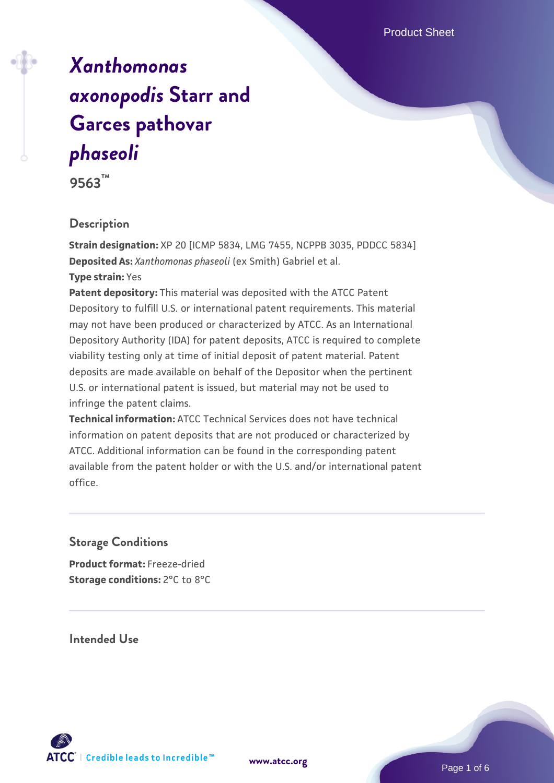# *[Xanthomonas](https://www.atcc.org/products/9563) [axonopodis](https://www.atcc.org/products/9563)* **[Starr and](https://www.atcc.org/products/9563) [Garces pathovar](https://www.atcc.org/products/9563)** *[phaseoli](https://www.atcc.org/products/9563)*

**9563™**

#### **Description**

**Strain designation:** XP 20 [ICMP 5834, LMG 7455, NCPPB 3035, PDDCC 5834] **Deposited As:** *Xanthomonas phaseoli* (ex Smith) Gabriel et al. **Type strain:** Yes

**Patent depository:** This material was deposited with the ATCC Patent Depository to fulfill U.S. or international patent requirements. This material may not have been produced or characterized by ATCC. As an International Depository Authority (IDA) for patent deposits, ATCC is required to complete viability testing only at time of initial deposit of patent material. Patent deposits are made available on behalf of the Depositor when the pertinent U.S. or international patent is issued, but material may not be used to infringe the patent claims.

**Technical information:** ATCC Technical Services does not have technical information on patent deposits that are not produced or characterized by ATCC. Additional information can be found in the corresponding patent available from the patent holder or with the U.S. and/or international patent office.

#### **Storage Conditions**

**Product format:** Freeze-dried **Storage conditions: 2°C to 8°C** 

**Intended Use**



**[www.atcc.org](http://www.atcc.org)**

Page 1 of 6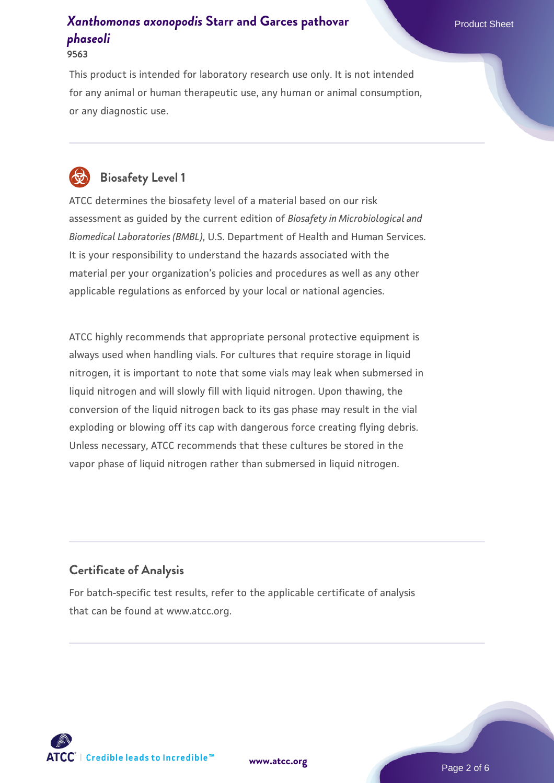This product is intended for laboratory research use only. It is not intended for any animal or human therapeutic use, any human or animal consumption, or any diagnostic use.



## **Biosafety Level 1**

ATCC determines the biosafety level of a material based on our risk assessment as guided by the current edition of *Biosafety in Microbiological and Biomedical Laboratories (BMBL)*, U.S. Department of Health and Human Services. It is your responsibility to understand the hazards associated with the material per your organization's policies and procedures as well as any other applicable regulations as enforced by your local or national agencies.

ATCC highly recommends that appropriate personal protective equipment is always used when handling vials. For cultures that require storage in liquid nitrogen, it is important to note that some vials may leak when submersed in liquid nitrogen and will slowly fill with liquid nitrogen. Upon thawing, the conversion of the liquid nitrogen back to its gas phase may result in the vial exploding or blowing off its cap with dangerous force creating flying debris. Unless necessary, ATCC recommends that these cultures be stored in the vapor phase of liquid nitrogen rather than submersed in liquid nitrogen.

#### **Certificate of Analysis**

For batch-specific test results, refer to the applicable certificate of analysis that can be found at www.atcc.org.

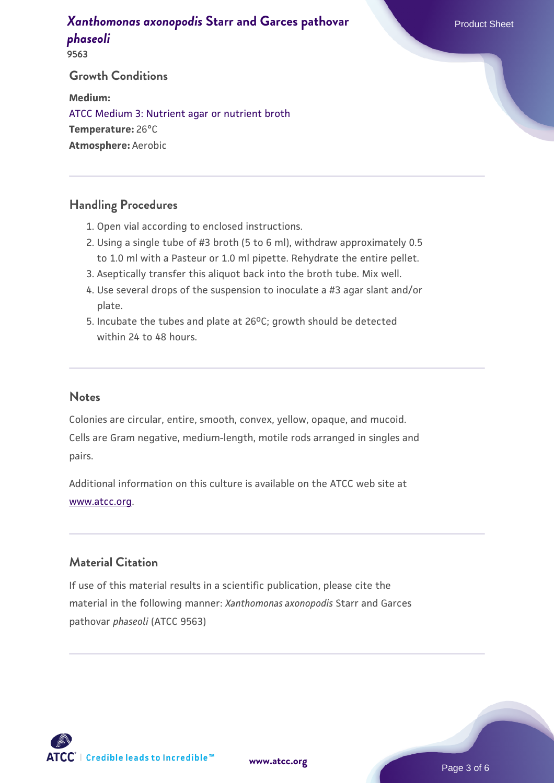**9563**

## **Growth Conditions**

**Medium:**  [ATCC Medium 3: Nutrient agar or nutrient broth](https://www.atcc.org/-/media/product-assets/documents/microbial-media-formulations/3/atcc-medium-3.pdf?rev=7510837507e64d849c62a46b5b2197a1) **Temperature:** 26°C **Atmosphere:** Aerobic

#### **Handling Procedures**

- 1. Open vial according to enclosed instructions.
- Using a single tube of #3 broth (5 to 6 ml), withdraw approximately 0.5 2. to 1.0 ml with a Pasteur or 1.0 ml pipette. Rehydrate the entire pellet.
- 3. Aseptically transfer this aliquot back into the broth tube. Mix well.
- Use several drops of the suspension to inoculate a #3 agar slant and/or 4. plate.
- 5. Incubate the tubes and plate at 26°C; growth should be detected within 24 to 48 hours.

#### **Notes**

Colonies are circular, entire, smooth, convex, yellow, opaque, and mucoid. Cells are Gram negative, medium-length, motile rods arranged in singles and pairs.

Additional information on this culture is available on the ATCC web site at [www.atcc.org.](http://www.atcc.org/)

#### **Material Citation**

If use of this material results in a scientific publication, please cite the material in the following manner: *Xanthomonas axonopodis* Starr and Garces pathovar *phaseoli* (ATCC 9563)



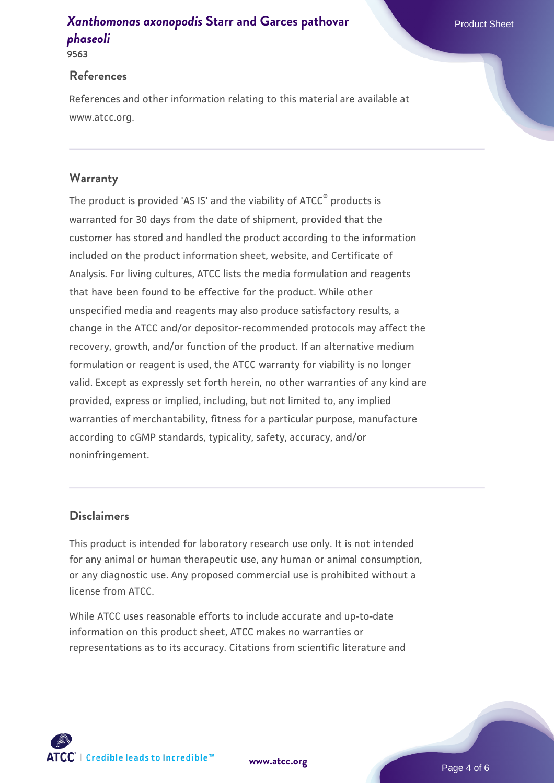**9563**

#### **References**

References and other information relating to this material are available at www.atcc.org.

### **Warranty**

The product is provided 'AS IS' and the viability of ATCC® products is warranted for 30 days from the date of shipment, provided that the customer has stored and handled the product according to the information included on the product information sheet, website, and Certificate of Analysis. For living cultures, ATCC lists the media formulation and reagents that have been found to be effective for the product. While other unspecified media and reagents may also produce satisfactory results, a change in the ATCC and/or depositor-recommended protocols may affect the recovery, growth, and/or function of the product. If an alternative medium formulation or reagent is used, the ATCC warranty for viability is no longer valid. Except as expressly set forth herein, no other warranties of any kind are provided, express or implied, including, but not limited to, any implied warranties of merchantability, fitness for a particular purpose, manufacture according to cGMP standards, typicality, safety, accuracy, and/or noninfringement.

#### **Disclaimers**

This product is intended for laboratory research use only. It is not intended for any animal or human therapeutic use, any human or animal consumption, or any diagnostic use. Any proposed commercial use is prohibited without a license from ATCC.

While ATCC uses reasonable efforts to include accurate and up-to-date information on this product sheet, ATCC makes no warranties or representations as to its accuracy. Citations from scientific literature and

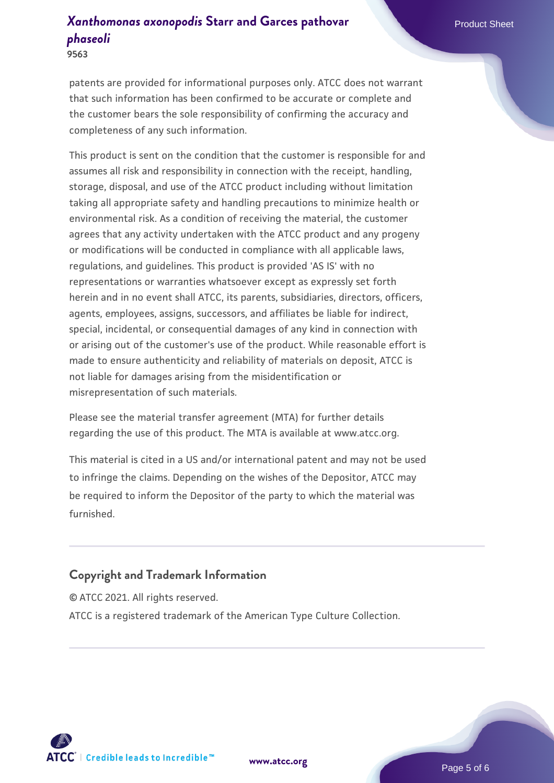**9563**

patents are provided for informational purposes only. ATCC does not warrant that such information has been confirmed to be accurate or complete and the customer bears the sole responsibility of confirming the accuracy and completeness of any such information.

This product is sent on the condition that the customer is responsible for and assumes all risk and responsibility in connection with the receipt, handling, storage, disposal, and use of the ATCC product including without limitation taking all appropriate safety and handling precautions to minimize health or environmental risk. As a condition of receiving the material, the customer agrees that any activity undertaken with the ATCC product and any progeny or modifications will be conducted in compliance with all applicable laws, regulations, and guidelines. This product is provided 'AS IS' with no representations or warranties whatsoever except as expressly set forth herein and in no event shall ATCC, its parents, subsidiaries, directors, officers, agents, employees, assigns, successors, and affiliates be liable for indirect, special, incidental, or consequential damages of any kind in connection with or arising out of the customer's use of the product. While reasonable effort is made to ensure authenticity and reliability of materials on deposit, ATCC is not liable for damages arising from the misidentification or misrepresentation of such materials.

Please see the material transfer agreement (MTA) for further details regarding the use of this product. The MTA is available at www.atcc.org.

This material is cited in a US and/or international patent and may not be used to infringe the claims. Depending on the wishes of the Depositor, ATCC may be required to inform the Depositor of the party to which the material was furnished.

## **Copyright and Trademark Information**

© ATCC 2021. All rights reserved. ATCC is a registered trademark of the American Type Culture Collection.